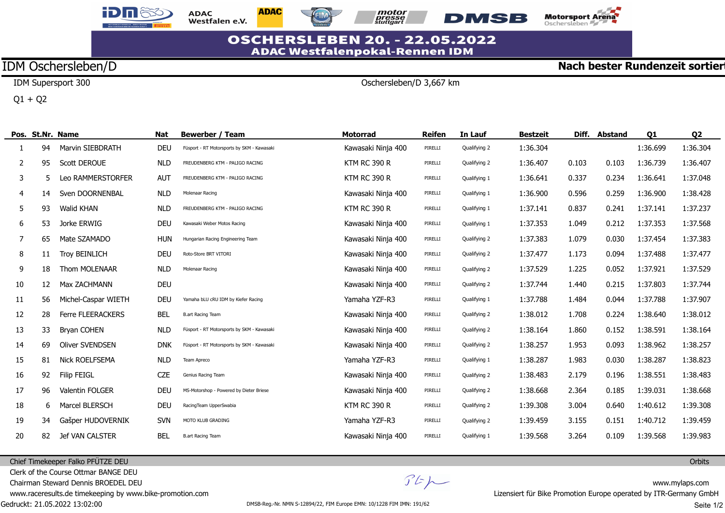





Oschersleben/D 3,667 km



**Nach bester Rundenzeit sortier** 

## **OSCHERSLEBEN 20. - 22.05.2022 ADAC Westfalenpokal-Rennen IDM**

# IDM Oschersleben/D

IDM Supersport 300

 $Q1 + Q2$ 

|    |    | Pos. St.Nr. Name         | <b>Nat</b> | <b>Bewerber / Team</b>                     | <b>Motorrad</b>     | <b>Reifen</b> | In Lauf      | <b>Bestzeit</b> | Diff. | <b>Abstand</b> | 01       | Q <sub>2</sub> |
|----|----|--------------------------|------------|--------------------------------------------|---------------------|---------------|--------------|-----------------|-------|----------------|----------|----------------|
|    | 94 | Marvin SIEBDRATH         | <b>DEU</b> | Füsport - RT Motorsports by SKM - Kawasaki | Kawasaki Ninja 400  | PIRELLI       | Qualifying 2 | 1:36.304        |       |                | 1:36.699 | 1:36.304       |
| 2  | 95 | <b>Scott DEROUE</b>      | <b>NLD</b> | FREUDENBERG KTM - PALIGO RACING            | <b>KTM RC 390 R</b> | PIRELLI       | Qualifying 2 | 1:36.407        | 0.103 | 0.103          | 1:36.739 | 1:36.407       |
| 3  | 5  | Leo RAMMERSTORFER        | <b>AUT</b> | FREUDENBERG KTM - PALIGO RACING            | <b>KTM RC 390 R</b> | PIRELLI       | Qualifying 1 | 1:36.641        | 0.337 | 0.234          | 1:36.641 | 1:37.048       |
| 4  | 14 | Sven DOORNENBAL          | <b>NLD</b> | Molenaar Racing                            | Kawasaki Ninja 400  | PIRELLI       | Qualifying 1 | 1:36.900        | 0.596 | 0.259          | 1:36.900 | 1:38.428       |
| 5  | 93 | <b>Walid KHAN</b>        | <b>NLD</b> | FREUDENBERG KTM - PALIGO RACING            | <b>KTM RC 390 R</b> | PIRELLI       | Qualifying 1 | 1:37.141        | 0.837 | 0.241          | 1:37.141 | 1:37.237       |
| 6  | 53 | Jorke ERWIG              | <b>DEU</b> | Kawasaki Weber Motos Racing                | Kawasaki Ninja 400  | PIRELLI       | Qualifying 1 | 1:37.353        | 1.049 | 0.212          | 1:37.353 | 1:37.568       |
| 7  | 65 | Mate SZAMADO             | <b>HUN</b> | Hungarian Racing Engineering Team          | Kawasaki Ninja 400  | PIRELLI       | Qualifying 2 | 1:37.383        | 1.079 | 0.030          | 1:37.454 | 1:37.383       |
| 8  | 11 | <b>Troy BEINLICH</b>     | <b>DEU</b> | Roto-Store BRT VITORI                      | Kawasaki Ninja 400  | PIRELLI       | Qualifying 2 | 1:37.477        | 1.173 | 0.094          | 1:37.488 | 1:37.477       |
| 9  | 18 | Thom MOLENAAR            | <b>NLD</b> | Molenaar Racing                            | Kawasaki Ninja 400  | PIRELLI       | Qualifying 2 | 1:37.529        | 1.225 | 0.052          | 1:37.921 | 1:37.529       |
| 10 | 12 | Max ZACHMANN             | <b>DEU</b> |                                            | Kawasaki Ninja 400  | PIRELLI       | Qualifying 2 | 1:37.744        | 1.440 | 0.215          | 1:37.803 | 1:37.744       |
| 11 | 56 | Michel-Caspar WIETH      | <b>DEU</b> | Yamaha bLU cRU IDM by Kiefer Racing        | Yamaha YZF-R3       | PIRELLI       | Qualifying 1 | 1:37.788        | 1.484 | 0.044          | 1:37.788 | 1:37.907       |
| 12 | 28 | <b>Ferre FLEERACKERS</b> | <b>BEL</b> | <b>B.art Racing Team</b>                   | Kawasaki Ninja 400  | PIRELLI       | Qualifying 2 | 1:38.012        | 1.708 | 0.224          | 1:38.640 | 1:38.012       |
| 13 | 33 | <b>Bryan COHEN</b>       | <b>NLD</b> | Füsport - RT Motorsports by SKM - Kawasaki | Kawasaki Ninja 400  | PIRELLI       | Qualifying 2 | 1:38.164        | 1.860 | 0.152          | 1:38.591 | 1:38.164       |
| 14 | 69 | <b>Oliver SVENDSEN</b>   | <b>DNK</b> | Füsport - RT Motorsports by SKM - Kawasaki | Kawasaki Ninja 400  | PIRELLI       | Qualifying 2 | 1:38.257        | 1.953 | 0.093          | 1:38.962 | 1:38.257       |
| 15 | 81 | <b>Nick ROELFSEMA</b>    | <b>NLD</b> | Team Apreco                                | Yamaha YZF-R3       | PIRELLI       | Qualifying 1 | 1:38.287        | 1.983 | 0.030          | 1:38.287 | 1:38.823       |
| 16 | 92 | <b>Filip FEIGL</b>       | <b>CZE</b> | Genius Racing Team                         | Kawasaki Ninja 400  | PIRELLI       | Qualifying 2 | 1:38.483        | 2.179 | 0.196          | 1:38.551 | 1:38.483       |
| 17 | 96 | Valentin FOLGER          | <b>DEU</b> | MS-Motorshop - Powered by Dieter Briese    | Kawasaki Ninja 400  | PIRELLI       | Qualifying 2 | 1:38.668        | 2.364 | 0.185          | 1:39.031 | 1:38.668       |
| 18 | 6  | Marcel BLERSCH           | <b>DEU</b> | RacingTeam UpperSwabia                     | <b>KTM RC 390 R</b> | PIRELLI       | Qualifying 2 | 1:39.308        | 3.004 | 0.640          | 1:40.612 | 1:39.308       |
| 19 | 34 | Gašper HUDOVERNIK        | <b>SVN</b> | MOTO KLUB GRADING                          | Yamaha YZF-R3       | PIRELLI       | Qualifying 2 | 1:39.459        | 3.155 | 0.151          | 1:40.712 | 1:39.459       |
| 20 | 82 | Jef VAN CALSTER          | <b>BEL</b> | <b>B.art Racing Team</b>                   | Kawasaki Ninja 400  | PIRELLI       | Qualifying 1 | 1:39.568        | 3.264 | 0.109          | 1:39.568 | 1:39.983       |

#### Chief Timekeeper Falko PFÜTZE DEU

Clerk of the Course Ottmar BANGE DEU

Chairman Steward Dennis BROEDEL DEU

www.raceresults.de timekeeping by www.bike-promotion.com

Gedruckt: 21.05.2022 13:02:00

 $\mathcal{F}E\mathcal{H}$ 

**Orbits**